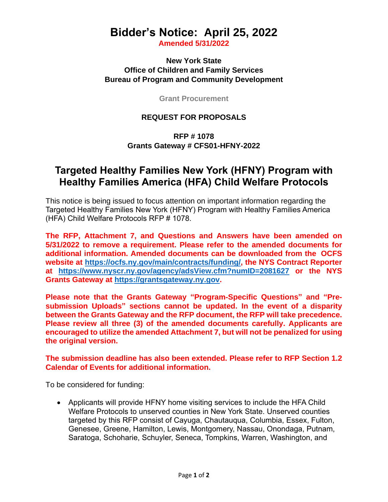# **Bidder's Notice: April 25, 2022**

**Amended 5/31/2022**

**New York State Office of Children and Family Services Bureau of Program and Community Development**

**Grant Procurement**

#### **REQUEST FOR PROPOSALS**

### **RFP # 1078 Grants Gateway # CFS01-HFNY-2022**

## **Targeted Healthy Families New York (HFNY) Program with Healthy Families America (HFA) Child Welfare Protocols**

This notice is being issued to focus attention on important information regarding the Targeted Healthy Families New York (HFNY) Program with Healthy Families America (HFA) Child Welfare Protocols RFP # 1078.

**The RFP, Attachment 7, and Questions and Answers have been amended on 5/31/2022 to remove a requirement. Please refer to the amended documents for additional information. Amended documents can be downloaded from the OCFS website at [https://ocfs.ny.gov/main/contracts/funding/,](https://ocfs.ny.gov/main/contracts/funding/) the NYS Contract Reporter at [https://www.nyscr.ny.gov/agency/adsView.cfm?numID=2081627](https://gcc02.safelinks.protection.outlook.com/?url=https%3A%2F%2Fwww.nyscr.ny.gov%2Fagency%2FadsView.cfm%3FnumID%3D2081627&data=05%7C01%7CTheodore.Chmielewski%40ocfs.ny.gov%7Ced26d0f37f0c496cf3f708da431806c0%7Cf46cb8ea79004d108ceb80e8c1c81ee7%7C0%7C0%7C637896067713918059%7CUnknown%7CTWFpbGZsb3d8eyJWIjoiMC4wLjAwMDAiLCJQIjoiV2luMzIiLCJBTiI6Ik1haWwiLCJXVCI6Mn0%3D%7C3000%7C%7C%7C&sdata=NEl278inSQAQb0kJuB2mjDt1lUO5wJysWjbGSezAGpM%3D&reserved=0) or the NYS Grants Gateway at [https://grantsgateway.ny.gov.](https://gcc02.safelinks.protection.outlook.com/?url=https%3A%2F%2Fgrantsgateway.ny.gov%2F&data=05%7C01%7CTheodore.Chmielewski%40ocfs.ny.gov%7Ced26d0f37f0c496cf3f708da431806c0%7Cf46cb8ea79004d108ceb80e8c1c81ee7%7C0%7C0%7C637896067713918059%7CUnknown%7CTWFpbGZsb3d8eyJWIjoiMC4wLjAwMDAiLCJQIjoiV2luMzIiLCJBTiI6Ik1haWwiLCJXVCI6Mn0%3D%7C3000%7C%7C%7C&sdata=%2Bfozzv0uY7wk6NTjfUX18gdd1rocS4YoOdOjh5eObdE%3D&reserved=0)**

**Please note that the Grants Gateway "Program-Specific Questions" and "Presubmission Uploads" sections cannot be updated. In the event of a disparity between the Grants Gateway and the RFP document, the RFP will take precedence. Please review all three (3) of the amended documents carefully. Applicants are encouraged to utilize the amended Attachment 7, but will not be penalized for using the original version.**

#### **The submission deadline has also been extended. Please refer to RFP Section 1.2 Calendar of Events for additional information.**

To be considered for funding:

• Applicants will provide HFNY home visiting services to include the HFA Child Welfare Protocols to unserved counties in New York State. Unserved counties targeted by this RFP consist of Cayuga, Chautauqua, Columbia, Essex, Fulton, Genesee, Greene, Hamilton, Lewis, Montgomery, Nassau, Onondaga, Putnam, Saratoga, Schoharie, Schuyler, Seneca, Tompkins, Warren, Washington, and